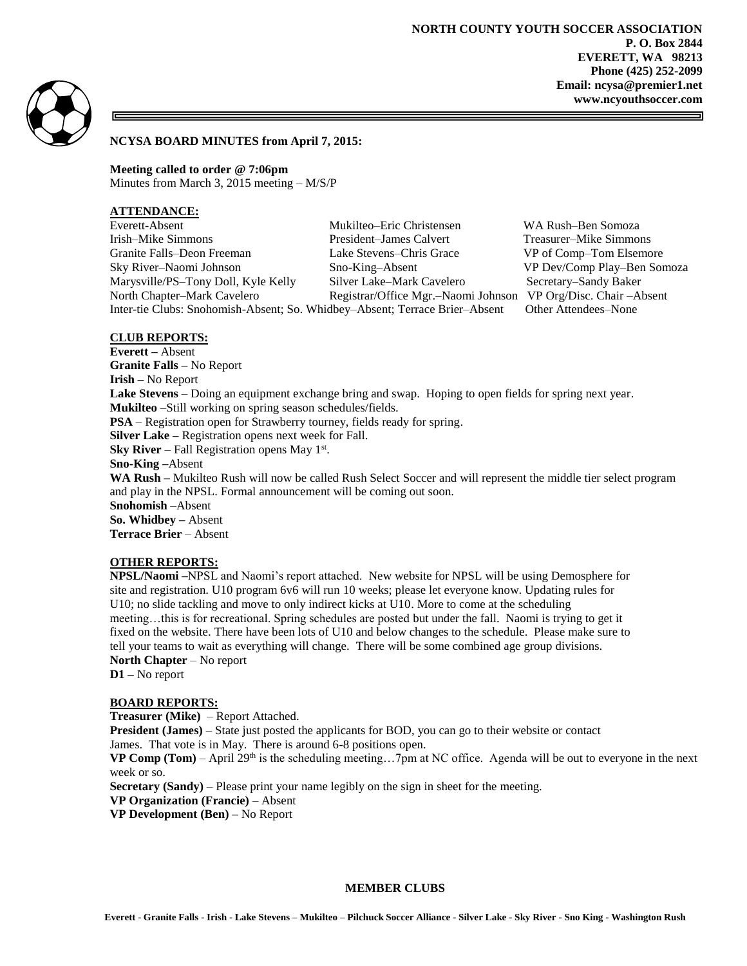



# **NCYSA BOARD MINUTES from April 7, 2015:**

**Meeting called to order @ 7:06pm** Minutes from March 3, 2015 meeting – M/S/P

### **ATTENDANCE:**

| Everett-Absent                                                              | Mukilteo–Eric Christensen           | WA Rush-Ben Somoza          |
|-----------------------------------------------------------------------------|-------------------------------------|-----------------------------|
| Irish-Mike Simmons                                                          | President-James Calvert             | Treasurer–Mike Simmons      |
| Granite Falls–Deon Freeman                                                  | Lake Stevens–Chris Grace            | VP of Comp–Tom Elsemore     |
| Sky River-Naomi Johnson                                                     | Sno-King-Absent                     | VP Dev/Comp Play-Ben Somoza |
| Marysville/PS-Tony Doll, Kyle Kelly                                         | Silver Lake-Mark Cavelero           | Secretary–Sandy Baker       |
| North Chapter-Mark Cavelero                                                 | Registrar/Office Mgr.-Naomi Johnson | VP Org/Disc. Chair - Absent |
| Inter-tie Clubs: Snohomish-Absent; So. Whidbey-Absent; Terrace Brier-Absent |                                     | Other Attendees–None        |

## **CLUB REPORTS:**

**Everett –** Absent **Granite Falls –** No Report **Irish –** No Report **Lake Stevens** – Doing an equipment exchange bring and swap. Hoping to open fields for spring next year. **Mukilteo** –Still working on spring season schedules/fields. **PSA** – Registration open for Strawberry tourney, fields ready for spring. **Silver Lake –** Registration opens next week for Fall. **Sky River** – Fall Registration opens May  $1<sup>st</sup>$ . **Sno-King –**Absent **WA Rush –** Mukilteo Rush will now be called Rush Select Soccer and will represent the middle tier select program and play in the NPSL. Formal announcement will be coming out soon. **Snohomish** –Absent **So. Whidbey –** Absent **Terrace Brier** – Absent

# **OTHER REPORTS:**

**NPSL/Naomi –**NPSL and Naomi's report attached. New website for NPSL will be using Demosphere for site and registration. U10 program 6v6 will run 10 weeks; please let everyone know. Updating rules for U10; no slide tackling and move to only indirect kicks at U10. More to come at the scheduling meeting…this is for recreational. Spring schedules are posted but under the fall. Naomi is trying to get it fixed on the website. There have been lots of U10 and below changes to the schedule. Please make sure to tell your teams to wait as everything will change. There will be some combined age group divisions. **North Chapter** – No report

**D1 –** No report

#### **BOARD REPORTS:**

**Treasurer (Mike)** – Report Attached.

**President (James)** – State just posted the applicants for BOD, you can go to their website or contact

James. That vote is in May. There is around 6-8 positions open.

**VP Comp (Tom)** – April 29<sup>th</sup> is the scheduling meeting...7pm at NC office. Agenda will be out to everyone in the next week or so.

**Secretary (Sandy)** – Please print your name legibly on the sign in sheet for the meeting.

**VP Organization (Francie)** – Absent

**VP Development (Ben) –** No Report

#### **MEMBER CLUBS**